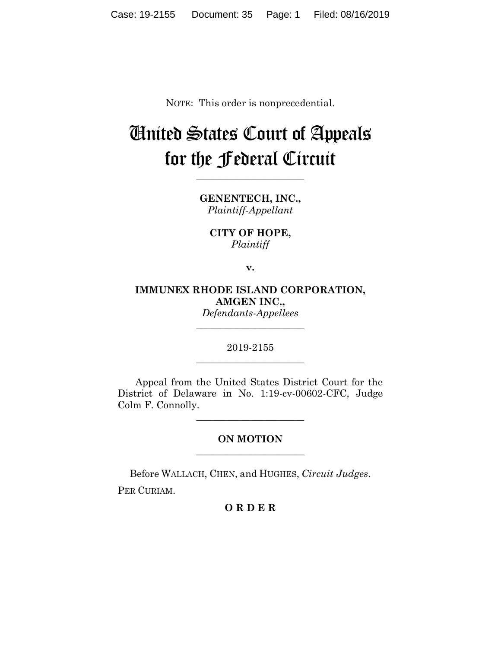NOTE: This order is nonprecedential.

## United States Court of Appeals for the Federal Circuit

**\_\_\_\_\_\_\_\_\_\_\_\_\_\_\_\_\_\_\_\_\_\_**

**GENENTECH, INC.,** *Plaintiff-Appellant*

**CITY OF HOPE,** *Plaintiff*

**v.**

**IMMUNEX RHODE ISLAND CORPORATION, AMGEN INC.,** *Defendants-Appellees*

**\_\_\_\_\_\_\_\_\_\_\_\_\_\_\_\_\_\_\_\_\_\_**

2019-2155 **\_\_\_\_\_\_\_\_\_\_\_\_\_\_\_\_\_\_\_\_\_\_**

Appeal from the United States District Court for the District of Delaware in No. 1:19-cv-00602-CFC, Judge Colm F. Connolly.

**\_\_\_\_\_\_\_\_\_\_\_\_\_\_\_\_\_\_\_\_\_\_**

## **ON MOTION \_\_\_\_\_\_\_\_\_\_\_\_\_\_\_\_\_\_\_\_\_\_**

Before WALLACH, CHEN, and HUGHES, *Circuit Judges*.

PER CURIAM.

## **O R D E R**